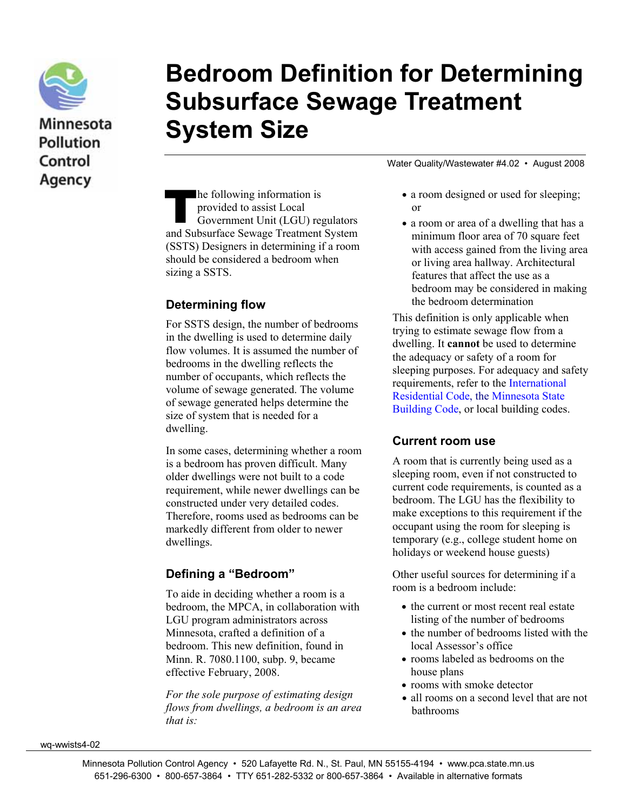

Minnesota **Pollution** Control Agency

# **Bedroom Definition for Determining Subsurface Sewage Treatment System Size**

Water Quality/Wastewater #4.02 • August 2008

he following information is provided to assist Local Government Unit (LGU) regulators The following information is<br>
provided to assist Local<br>
Government Unit (LGU) regulators<br>
and Subsurface Sewage Treatment System (SSTS) Designers in determining if a room should be considered a bedroom when sizing a SSTS.

#### **Determining flow**

For SSTS design, the number of bedrooms in the dwelling is used to determine daily flow volumes. It is assumed the number of bedrooms in the dwelling reflects the number of occupants, which reflects the volume of sewage generated. The volume of sewage generated helps determine the size of system that is needed for a dwelling.

In some cases, determining whether a room is a bedroom has proven difficult. Many older dwellings were not built to a code requirement, while newer dwellings can be constructed under very detailed codes. Therefore, rooms used as bedrooms can be markedly different from older to newer dwellings.

#### **Defining a "Bedroom"**

To aide in deciding whether a room is a bedroom, the MPCA, in collaboration with LGU program administrators across Minnesota, crafted a definition of a bedroom. This new definition, found in Minn. R. 7080.1100, subp. 9, became effective February, 2008.

*For the sole purpose of estimating design flows from dwellings, a bedroom is an area that is:* 

- a room designed or used for sleeping; or
- a room or area of a dwelling that has a minimum floor area of 70 square feet with access gained from the living area or living area hallway. Architectural features that affect the use as a bedroom may be considered in making the bedroom determination

This definition is only applicable when trying to estimate sewage flow from a dwelling. It **cannot** be used to determine the adequacy or safety of a room for sleeping purposes. For adequacy and safety requirements, refer to the [International](http://www.iccsafe.org/e/prodsearch.html?words=3100S06)  [Residential Code,](http://www.iccsafe.org/e/prodsearch.html?words=3100S06) the [Minnesota State](http://www.doli.state.mn.us/pdf/bc_2007msbc.pdf)  [Building Code,](http://www.doli.state.mn.us/pdf/bc_2007msbc.pdf) or local building codes.

#### **Current room use**

A room that is currently being used as a sleeping room, even if not constructed to current code requirements, is counted as a bedroom. The LGU has the flexibility to make exceptions to this requirement if the occupant using the room for sleeping is temporary (e.g., college student home on holidays or weekend house guests)

Other useful sources for determining if a room is a bedroom include:

- the current or most recent real estate listing of the number of bedrooms
- the number of bedrooms listed with the local Assessor's office
- rooms labeled as bedrooms on the house plans
- rooms with smoke detector
- all rooms on a second level that are not bathrooms

wq-wwists4-02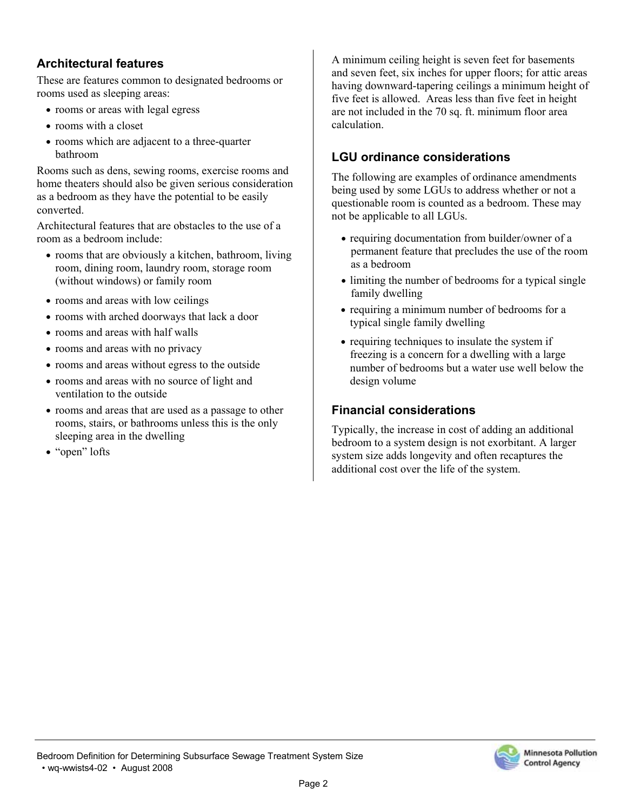#### **Architectural features**

These are features common to designated bedrooms or rooms used as sleeping areas:

- rooms or areas with legal egress
- rooms with a closet
- rooms which are adjacent to a three-quarter bathroom

Rooms such as dens, sewing rooms, exercise rooms and home theaters should also be given serious consideration as a bedroom as they have the potential to be easily converted.

Architectural features that are obstacles to the use of a room as a bedroom include:

- rooms that are obviously a kitchen, bathroom, living room, dining room, laundry room, storage room (without windows) or family room
- rooms and areas with low ceilings
- rooms with arched doorways that lack a door
- rooms and areas with half walls
- rooms and areas with no privacy
- rooms and areas without egress to the outside
- rooms and areas with no source of light and ventilation to the outside
- rooms and areas that are used as a passage to other rooms, stairs, or bathrooms unless this is the only sleeping area in the dwelling
- "open" lofts

A minimum ceiling height is seven feet for basements and seven feet, six inches for upper floors; for attic areas having downward-tapering ceilings a minimum height of five feet is allowed. Areas less than five feet in height are not included in the 70 sq. ft. minimum floor area calculation.

#### **LGU ordinance considerations**

The following are examples of ordinance amendments being used by some LGUs to address whether or not a questionable room is counted as a bedroom. These may not be applicable to all LGUs.

- requiring documentation from builder/owner of a permanent feature that precludes the use of the room as a bedroom
- limiting the number of bedrooms for a typical single family dwelling
- requiring a minimum number of bedrooms for a typical single family dwelling
- requiring techniques to insulate the system if freezing is a concern for a dwelling with a large number of bedrooms but a water use well below the design volume

### **Financial considerations**

Typically, the increase in cost of adding an additional bedroom to a system design is not exorbitant. A larger system size adds longevity and often recaptures the additional cost over the life of the system.